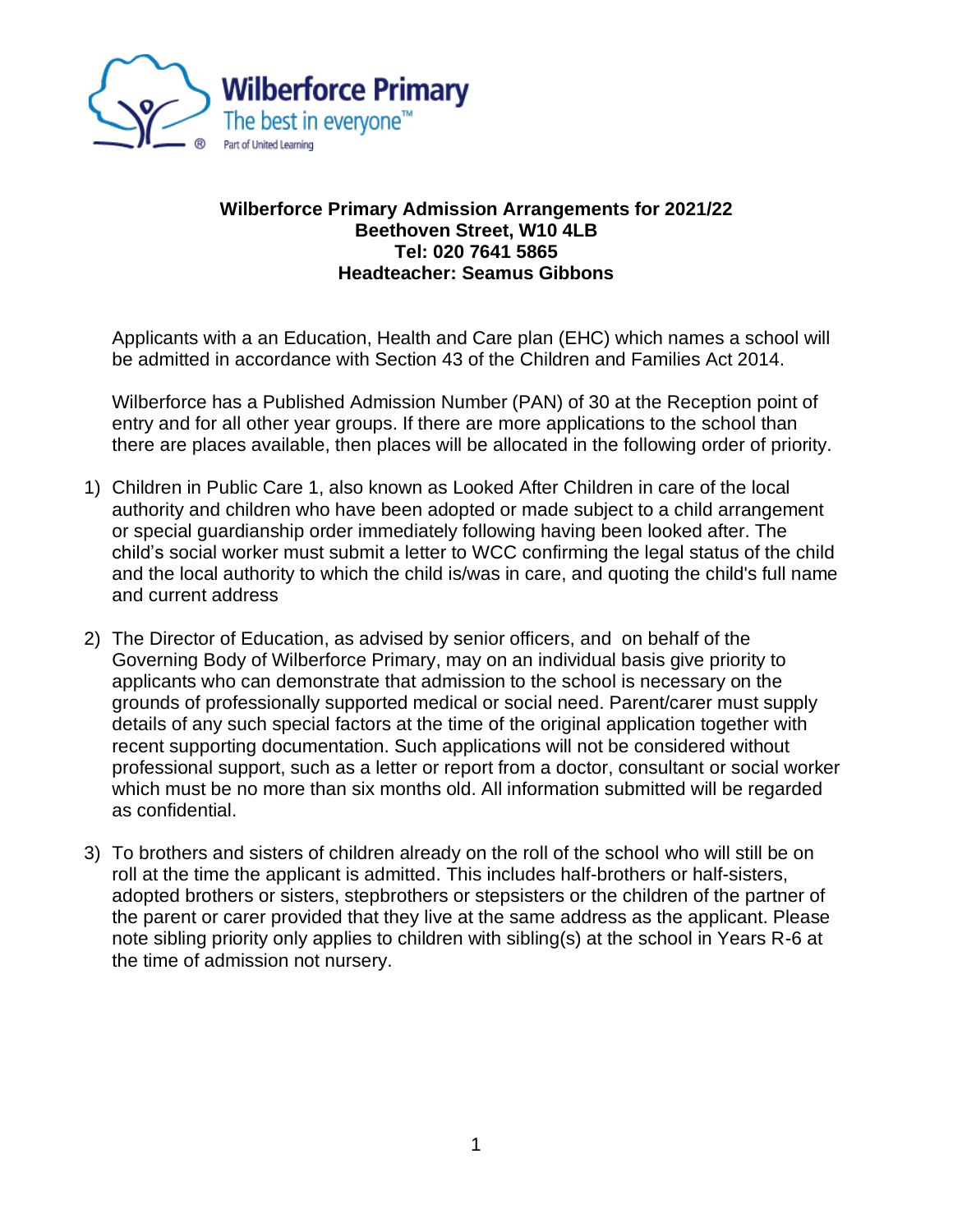

## **Wilberforce Primary Admission Arrangements for 2021/22 Beethoven Street, W10 4LB Tel: 020 7641 5865 Headteacher: Seamus Gibbons**

Applicants with a an Education, Health and Care plan (EHC) which names a school will be admitted in accordance with Section 43 of the Children and Families Act 2014.

Wilberforce has a Published Admission Number (PAN) of 30 at the Reception point of entry and for all other year groups. If there are more applications to the school than there are places available, then places will be allocated in the following order of priority.

- 1) Children in Public Care 1, also known as Looked After Children in care of the local authority and children who have been adopted or made subject to a child arrangement or special guardianship order immediately following having been looked after. The child's social worker must submit a letter to WCC confirming the legal status of the child and the local authority to which the child is/was in care, and quoting the child's full name and current address
- 2) The Director of Education, as advised by senior officers, and on behalf of the Governing Body of Wilberforce Primary, may on an individual basis give priority to applicants who can demonstrate that admission to the school is necessary on the grounds of professionally supported medical or social need. Parent/carer must supply details of any such special factors at the time of the original application together with recent supporting documentation. Such applications will not be considered without professional support, such as a letter or report from a doctor, consultant or social worker which must be no more than six months old. All information submitted will be regarded as confidential.
- 3) To brothers and sisters of children already on the roll of the school who will still be on roll at the time the applicant is admitted. This includes half-brothers or half-sisters, adopted brothers or sisters, stepbrothers or stepsisters or the children of the partner of the parent or carer provided that they live at the same address as the applicant. Please note sibling priority only applies to children with sibling(s) at the school in Years R-6 at the time of admission not nursery.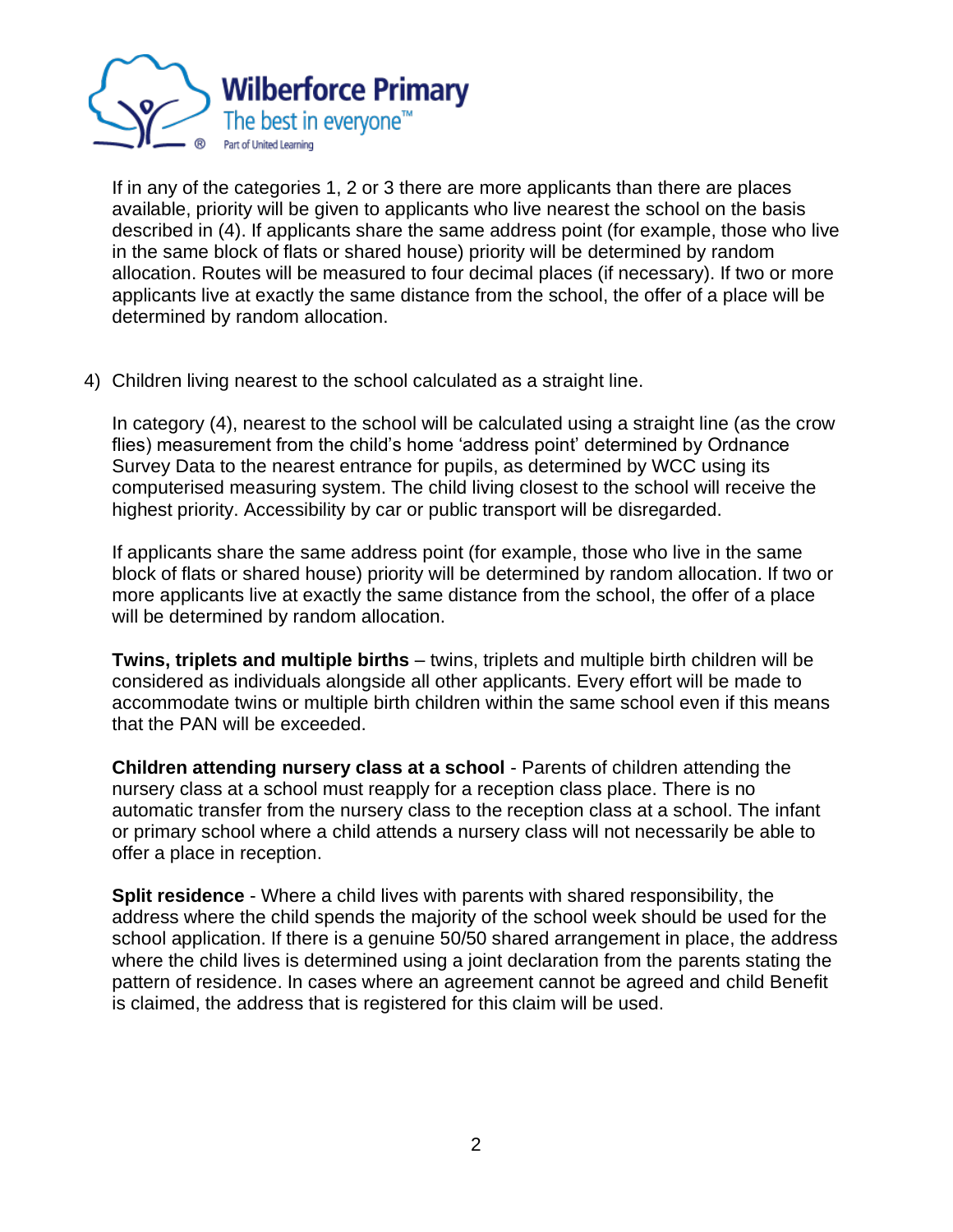

If in any of the categories 1, 2 or 3 there are more applicants than there are places available, priority will be given to applicants who live nearest the school on the basis described in (4). If applicants share the same address point (for example, those who live in the same block of flats or shared house) priority will be determined by random allocation. Routes will be measured to four decimal places (if necessary). If two or more applicants live at exactly the same distance from the school, the offer of a place will be determined by random allocation.

4) Children living nearest to the school calculated as a straight line.

In category (4), nearest to the school will be calculated using a straight line (as the crow flies) measurement from the child's home 'address point' determined by Ordnance Survey Data to the nearest entrance for pupils, as determined by WCC using its computerised measuring system. The child living closest to the school will receive the highest priority. Accessibility by car or public transport will be disregarded.

If applicants share the same address point (for example, those who live in the same block of flats or shared house) priority will be determined by random allocation. If two or more applicants live at exactly the same distance from the school, the offer of a place will be determined by random allocation.

**Twins, triplets and multiple births** – twins, triplets and multiple birth children will be considered as individuals alongside all other applicants. Every effort will be made to accommodate twins or multiple birth children within the same school even if this means that the PAN will be exceeded.

**Children attending nursery class at a school** - Parents of children attending the nursery class at a school must reapply for a reception class place. There is no automatic transfer from the nursery class to the reception class at a school. The infant or primary school where a child attends a nursery class will not necessarily be able to offer a place in reception.

**Split residence** - Where a child lives with parents with shared responsibility, the address where the child spends the majority of the school week should be used for the school application. If there is a genuine 50/50 shared arrangement in place, the address where the child lives is determined using a joint declaration from the parents stating the pattern of residence. In cases where an agreement cannot be agreed and child Benefit is claimed, the address that is registered for this claim will be used.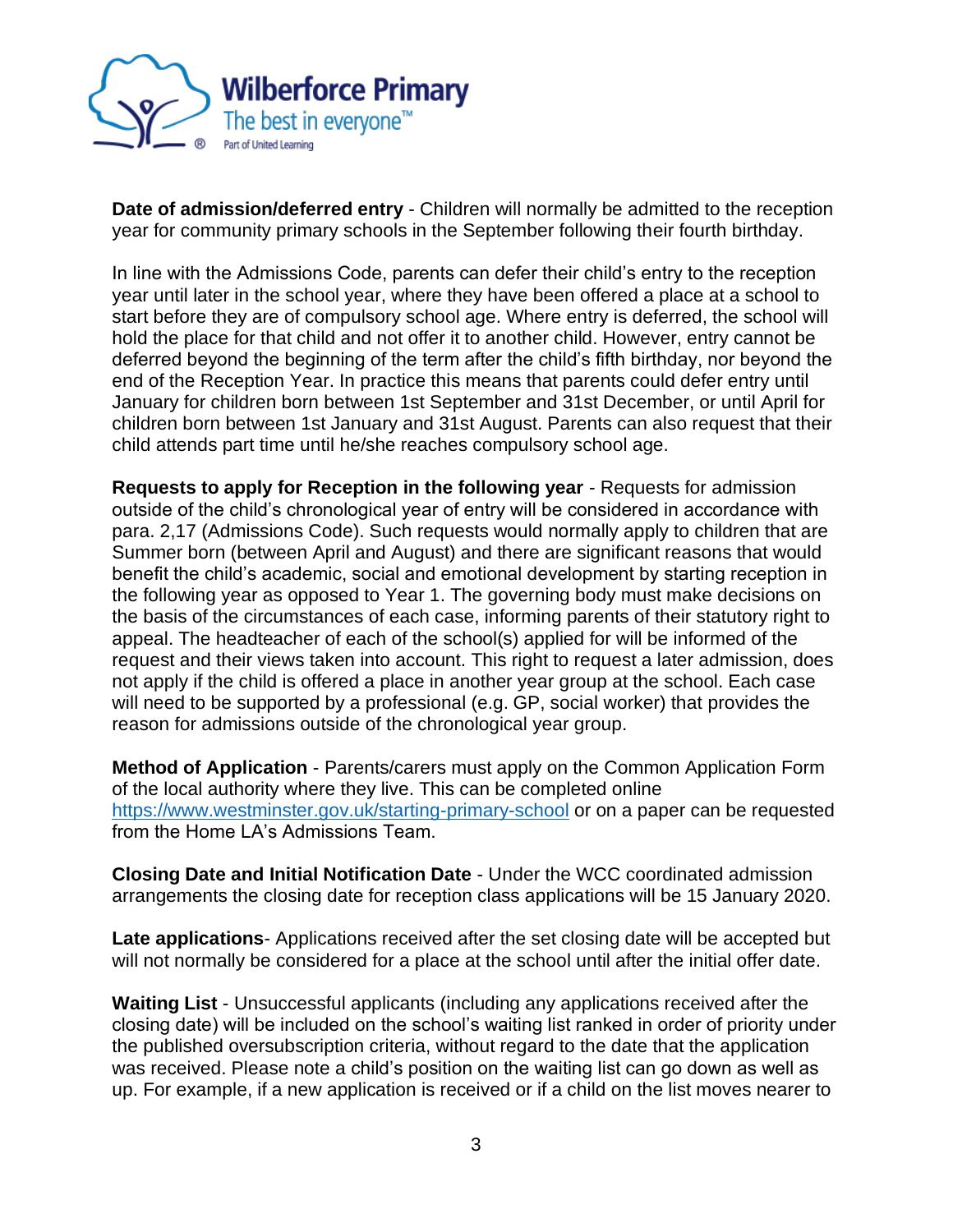

**Date of admission/deferred entry** - Children will normally be admitted to the reception year for community primary schools in the September following their fourth birthday.

In line with the Admissions Code, parents can defer their child's entry to the reception year until later in the school year, where they have been offered a place at a school to start before they are of compulsory school age. Where entry is deferred, the school will hold the place for that child and not offer it to another child. However, entry cannot be deferred beyond the beginning of the term after the child's fifth birthday, nor beyond the end of the Reception Year. In practice this means that parents could defer entry until January for children born between 1st September and 31st December, or until April for children born between 1st January and 31st August. Parents can also request that their child attends part time until he/she reaches compulsory school age.

**Requests to apply for Reception in the following year** - Requests for admission outside of the child's chronological year of entry will be considered in accordance with para. 2,17 (Admissions Code). Such requests would normally apply to children that are Summer born (between April and August) and there are significant reasons that would benefit the child's academic, social and emotional development by starting reception in the following year as opposed to Year 1. The governing body must make decisions on the basis of the circumstances of each case, informing parents of their statutory right to appeal. The headteacher of each of the school(s) applied for will be informed of the request and their views taken into account. This right to request a later admission, does not apply if the child is offered a place in another year group at the school. Each case will need to be supported by a professional (e.g. GP, social worker) that provides the reason for admissions outside of the chronological year group.

**Method of Application** - Parents/carers must apply on the Common Application Form of the local authority where they live. This can be completed online <https://www.westminster.gov.uk/starting-primary-school> or on a paper can be requested from the Home LA's Admissions Team.

**Closing Date and Initial Notification Date** - Under the WCC coordinated admission arrangements the closing date for reception class applications will be 15 January 2020.

**Late applications**- Applications received after the set closing date will be accepted but will not normally be considered for a place at the school until after the initial offer date.

**Waiting List** - Unsuccessful applicants (including any applications received after the closing date) will be included on the school's waiting list ranked in order of priority under the published oversubscription criteria, without regard to the date that the application was received. Please note a child's position on the waiting list can go down as well as up. For example, if a new application is received or if a child on the list moves nearer to